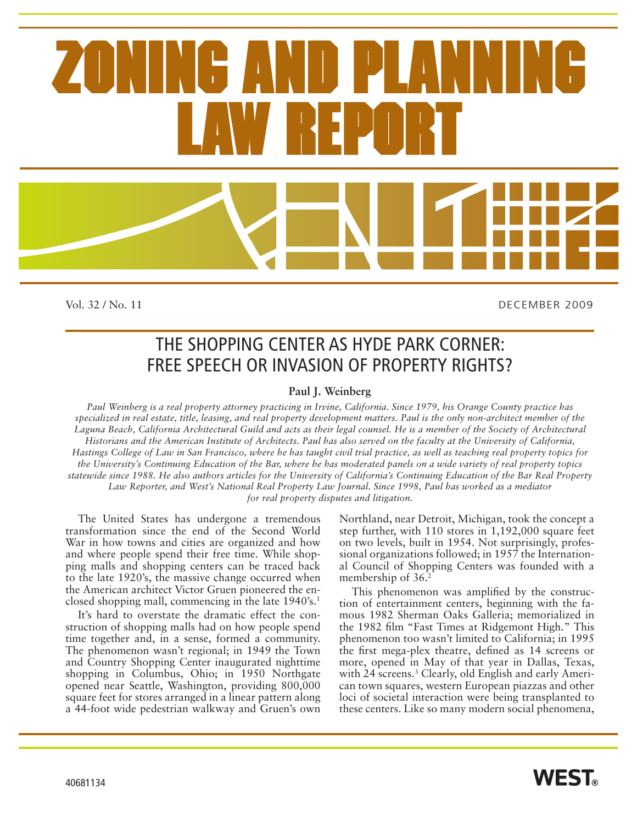

Vol. 32 / No. 11

DECEMBER 2009

# THE SHOPPING CENTER AS HYDE PARK CORNER: FREE SPEECH OR INVASION OF PROPERTY RIGHTS?

#### **Paul J. Weinberg**

*Paul Weinberg is a real property attorney practicing in Irvine, California. Since 1979, his Orange County practice has specialized in real estate, title, leasing, and real property development matters. Paul is the only non-architect member of the Laguna Beach, California Architectural Guild and acts as their legal counsel. He is a member of the Society of Architectural Historians and the American Institute of Architects. Paul has also served on the faculty at the University of California, Hastings College of Law in San Francisco, where he has taught civil trial practice, as well as teaching real property topics for the University's Continuing Education of the Bar, where he has moderated panels on a wide variety of real property topics statewide since 1988. He also authors articles for the University of California's Continuing Education of the Bar Real Property Law Reporter, and West's National Real Property Law Journal. Since 1998, Paul has worked as a mediator for real property disputes and litigation.*

The United States has undergone a tremendous transformation since the end of the Second World War in how towns and cities are organized and how and where people spend their free time. While shopping malls and shopping centers can be traced back to the late 1920's, the massive change occurred when the American architect Victor Gruen pioneered the enclosed shopping mall, commencing in the late 1940's.<sup>1</sup>

It's hard to overstate the dramatic effect the construction of shopping malls had on how people spend time together and, in a sense, formed a community. The phenomenon wasn't regional; in 1949 the Town and Country Shopping Center inaugurated nighttime shopping in Columbus, Ohio; in 1950 Northgate opened near Seattle, Washington, providing 800,000 square feet for stores arranged in a linear pattern along a 44-foot wide pedestrian walkway and Gruen's own

Northland, near Detroit, Michigan, took the concept a step further, with 110 stores in 1,192,000 square feet on two levels, built in 1954. Not surprisingly, professional organizations followed; in 1957 the International Council of Shopping Centers was founded with a membership of 36.<sup>2</sup>

This phenomenon was amplified by the construction of entertainment centers, beginning with the famous 1982 Sherman Oaks Galleria; memorialized in the 1982 film "Fast Times at Ridgemont High." This phenomenon too wasn't limited to California; in 1995 the first mega-plex theatre, defined as 14 screens or more, opened in May of that year in Dallas, Texas, with 24 screens.<sup>3</sup> Clearly, old English and early American town squares, western European piazzas and other loci of societal interaction were being transplanted to these centers. Like so many modern social phenomena,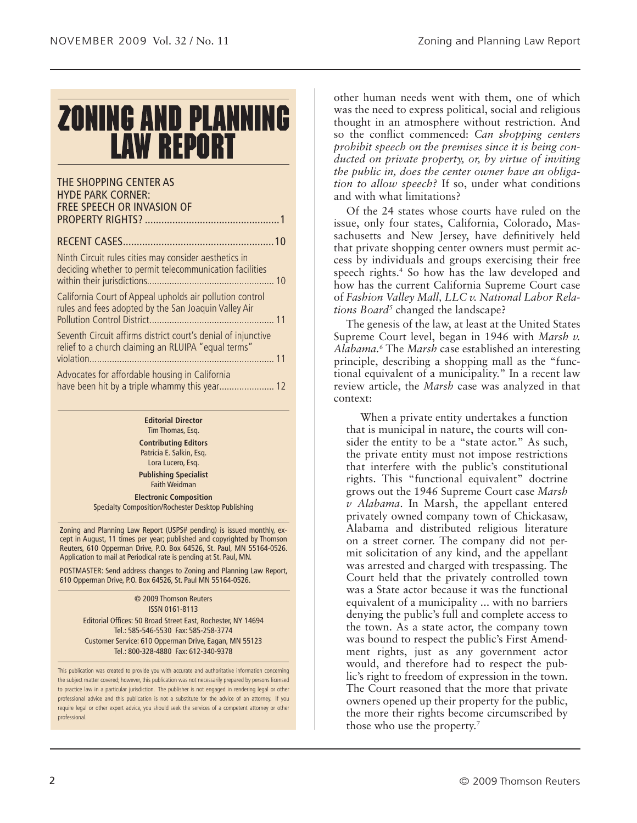# **ZONING AND PLANNING LAW REPORT**

| THE SHOPPING CENTER AS<br><b>HYDE PARK CORNER:</b><br><b>FREE SPEECH OR INVASION OF</b>                              |
|----------------------------------------------------------------------------------------------------------------------|
|                                                                                                                      |
|                                                                                                                      |
| Ninth Circuit rules cities may consider aesthetics in<br>deciding whether to permit telecommunication facilities     |
| California Court of Appeal upholds air pollution control<br>rules and fees adopted by the San Joaquin Valley Air     |
| Seventh Circuit affirms district court's denial of injunctive<br>relief to a church claiming an RLUIPA "equal terms" |
| Advocates for affordable housing in California                                                                       |

**Editorial Director** Tim Thomas, Esq.

**Contributing Editors** Patricia E. Salkin, Esq. Lora Lucero, Esq.

**Publishing Specialist** Faith Weidman **Electronic Composition**

Specialty Composition/Rochester Desktop Publishing

Zoning and Planning Law Report (USPS# pending) is issued monthly, except in August, 11 times per year; published and copyrighted by Thomson Reuters, 610 Opperman Drive, P.O. Box 64526, St. Paul, MN 55164-0526. Application to mail at Periodical rate is pending at St. Paul, MN.

POSTMASTER: Send address changes to Zoning and Planning Law Report, 610 Opperman Drive, P.O. Box 64526, St. Paul MN 55164-0526.

> © 2009 Thomson Reuters ISSN 0161-8113 Editorial Offices: 50 Broad Street East, Rochester, NY 14694 Tel.: 585-546-5530 Fax: 585-258-3774 Customer Service: 610 Opperman Drive, Eagan, MN 55123 Tel.: 800-328-4880 Fax: 612-340-9378

This publication was created to provide you with accurate and authoritative information concerning the subject matter covered; however, this publication was not necessarily prepared by persons licensed to practice law in a particular jurisdiction. The publisher is not engaged in rendering legal or other professional advice and this publication is not a substitute for the advice of an attorney. If you require legal or other expert advice, you should seek the services of a competent attorney or other professional.

other human needs went with them, one of which was the need to express political, social and religious thought in an atmosphere without restriction. And so the conflict commenced: *Can shopping centers prohibit speech on the premises since it is being conducted on private property, or, by virtue of inviting the public in, does the center owner have an obligation to allow speech?* If so, under what conditions and with what limitations?

Of the 24 states whose courts have ruled on the issue, only four states, California, Colorado, Massachusetts and New Jersey, have definitively held that private shopping center owners must permit access by individuals and groups exercising their free speech rights.4 So how has the law developed and how has the current California Supreme Court case of *Fashion Valley Mall, LLC v. National Labor Rela*tions Board<sup>5</sup> changed the landscape?

The genesis of the law, at least at the United States Supreme Court level, began in 1946 with *Marsh v. Alabama.6* The *Marsh* case established an interesting principle, describing a shopping mall as the "functional equivalent of a municipality." In a recent law review article, the *Marsh* case was analyzed in that context:

When a private entity undertakes a function that is municipal in nature, the courts will consider the entity to be a "state actor." As such, the private entity must not impose restrictions that interfere with the public's constitutional rights. This "functional equivalent" doctrine grows out the 1946 Supreme Court case *Marsh v Alabama*. In Marsh, the appellant entered privately owned company town of Chickasaw, Alabama and distributed religious literature on a street corner. The company did not permit solicitation of any kind, and the appellant was arrested and charged with trespassing. The Court held that the privately controlled town was a State actor because it was the functional equivalent of a municipality ... with no barriers denying the public's full and complete access to the town. As a state actor, the company town was bound to respect the public's First Amendment rights, just as any government actor would, and therefore had to respect the public's right to freedom of expression in the town. The Court reasoned that the more that private owners opened up their property for the public, the more their rights become circumscribed by those who use the property.7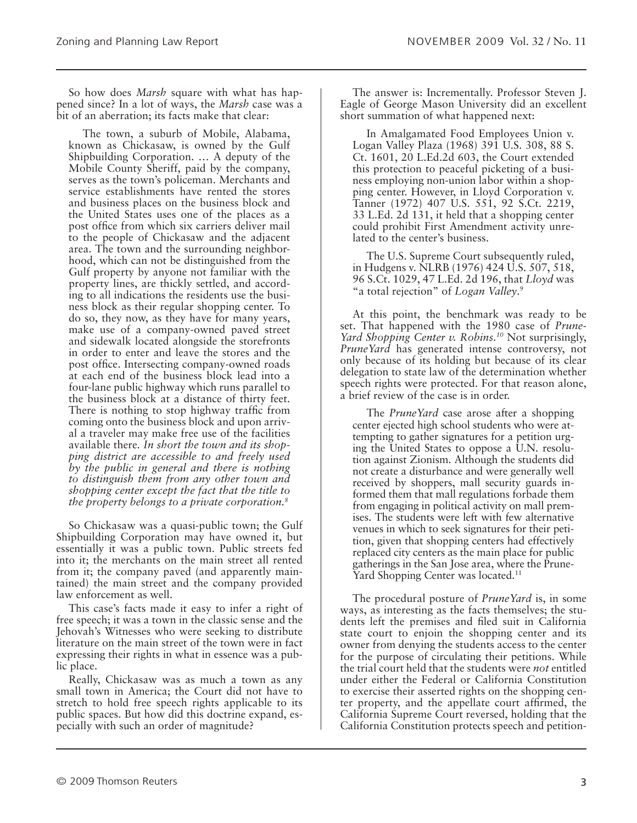So how does *Marsh* square with what has happened since? In a lot of ways, the *Marsh* case was a bit of an aberration; its facts make that clear:

The town, a suburb of Mobile, Alabama, known as Chickasaw, is owned by the Gulf Shipbuilding Corporation. … A deputy of the Mobile County Sheriff, paid by the company, serves as the town's policeman. Merchants and service establishments have rented the stores and business places on the business block and the United States uses one of the places as a post office from which six carriers deliver mail to the people of Chickasaw and the adjacent area. The town and the surrounding neighborhood, which can not be distinguished from the Gulf property by anyone not familiar with the property lines, are thickly settled, and according to all indications the residents use the business block as their regular shopping center. To do so, they now, as they have for many years, make use of a company-owned paved street and sidewalk located alongside the storefronts in order to enter and leave the stores and the post office. Intersecting company-owned roads at each end of the business block lead into a four-lane public highway which runs parallel to the business block at a distance of thirty feet. There is nothing to stop highway traffic from coming onto the business block and upon arrival a traveler may make free use of the facilities available there*. In short the town and its shopping district are accessible to and freely used by the public in general and there is nothing to distinguish them from any other town and shopping center except the fact that the title to the property belongs to a private corporation.8*

So Chickasaw was a quasi-public town; the Gulf Shipbuilding Corporation may have owned it, but essentially it was a public town. Public streets fed into it; the merchants on the main street all rented from it; the company paved (and apparently maintained) the main street and the company provided law enforcement as well.

This case's facts made it easy to infer a right of free speech; it was a town in the classic sense and the Jehovah's Witnesses who were seeking to distribute literature on the main street of the town were in fact expressing their rights in what in essence was a public place.

Really, Chickasaw was as much a town as any small town in America; the Court did not have to stretch to hold free speech rights applicable to its public spaces. But how did this doctrine expand, especially with such an order of magnitude?

The answer is: Incrementally. Professor Steven J. Eagle of George Mason University did an excellent short summation of what happened next:

In Amalgamated Food Employees Union v. Logan Valley Plaza (1968) 391 U.S. 308, 88 S. Ct. 1601, 20 L.Ed.2d 603, the Court extended this protection to peaceful picketing of a business employing non-union labor within a shopping center. However, in Lloyd Corporation v. Tanner (1972) 407 U.S. 551, 92 S.Ct. 2219, 33 L.Ed. 2d 131, it held that a shopping center could prohibit First Amendment activity unrelated to the center's business.

The U.S. Supreme Court subsequently ruled, in Hudgens v. NLRB (1976) 424 U.S. 507, 518, 96 S.Ct. 1029, 47 L.Ed. 2d 196, that *Lloyd* was "a total rejection" of *Logan Valley*. 9

At this point, the benchmark was ready to be set. That happened with the 1980 case of *Prune-Yard Shopping Center v. Robins.10* Not surprisingly, *PruneYard* has generated intense controversy, not only because of its holding but because of its clear delegation to state law of the determination whether speech rights were protected. For that reason alone, a brief review of the case is in order.

The *PruneYard* case arose after a shopping center ejected high school students who were attempting to gather signatures for a petition urging the United States to oppose a U.N. resolution against Zionism. Although the students did not create a disturbance and were generally well received by shoppers, mall security guards informed them that mall regulations forbade them from engaging in political activity on mall premises. The students were left with few alternative venues in which to seek signatures for their petition, given that shopping centers had effectively replaced city centers as the main place for public gatherings in the San Jose area, where the Prune-Yard Shopping Center was located.<sup>11</sup>

The procedural posture of *PruneYard* is, in some ways, as interesting as the facts themselves; the students left the premises and filed suit in California state court to enjoin the shopping center and its owner from denying the students access to the center for the purpose of circulating their petitions. While the trial court held that the students were *not* entitled under either the Federal or California Constitution to exercise their asserted rights on the shopping center property, and the appellate court affirmed, the California Supreme Court reversed, holding that the California Constitution protects speech and petition-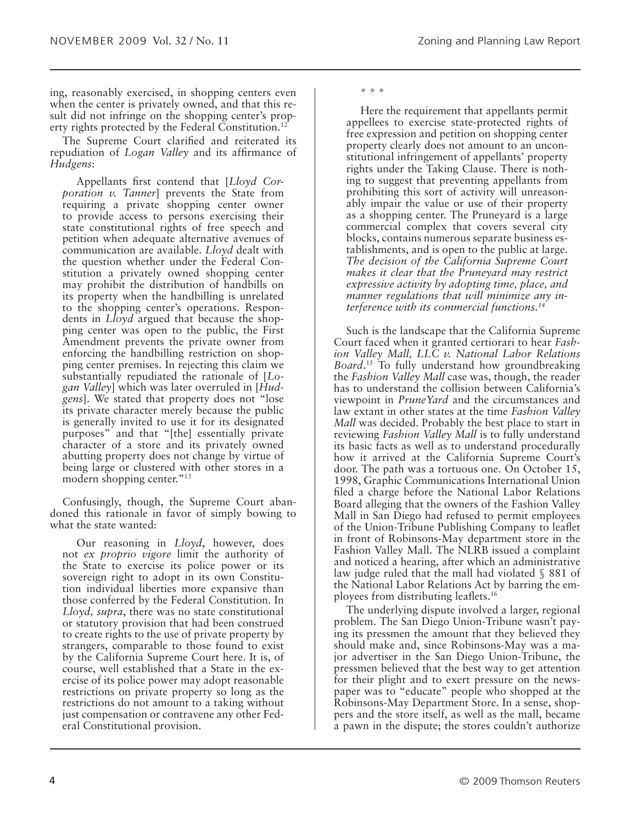ing, reasonably exercised, in shopping centers even when the center is privately owned, and that this result did not infringe on the shopping center's property rights protected by the Federal Constitution.<sup>12</sup>

The Supreme Court clarified and reiterated its repudiation of *Logan Valley* and its affirmance of *Hudgens*:

Appellants first contend that [*Lloyd Corporation v. Tanner*] prevents the State from requiring a private shopping center owner to provide access to persons exercising their state constitutional rights of free speech and petition when adequate alternative avenues of communication are available. *Lloyd* dealt with the question whether under the Federal Constitution a privately owned shopping center may prohibit the distribution of handbills on its property when the handbilling is unrelated to the shopping center's operations. Respondents in *Lloyd* argued that because the shopping center was open to the public, the First Amendment prevents the private owner from enforcing the handbilling restriction on shopping center premises. In rejecting this claim we substantially repudiated the rationale of [*Logan Valley*] which was later overruled in [*Hudgens*]. We stated that property does not "lose its private character merely because the public is generally invited to use it for its designated purposes" and that "[the] essentially private character of a store and its privately owned abutting property does not change by virtue of being large or clustered with other stores in a modern shopping center."<sup>13</sup>

Confusingly, though, the Supreme Court abandoned this rationale in favor of simply bowing to what the state wanted:

Our reasoning in *Lloyd*, however, does not *ex proprio vigore* limit the authority of the State to exercise its police power or its sovereign right to adopt in its own Constitution individual liberties more expansive than those conferred by the Federal Constitution. In *Lloyd, supra*, there was no state constitutional or statutory provision that had been construed to create rights to the use of private property by strangers, comparable to those found to exist by the California Supreme Court here. It is, of course, well established that a State in the exercise of its police power may adopt reasonable restrictions on private property so long as the restrictions do not amount to a taking without just compensation or contravene any other Federal Constitutional provision.

\* \* \*

Here the requirement that appellants permit appellees to exercise state-protected rights of free expression and petition on shopping center property clearly does not amount to an unconstitutional infringement of appellants' property rights under the Taking Clause. There is nothing to suggest that preventing appellants from prohibiting this sort of activity will unreasonably impair the value or use of their property as a shopping center. The Pruneyard is a large commercial complex that covers several city blocks, contains numerous separate business establishments, and is open to the public at large. *The decision of the California Supreme Court makes it clear that the Pruneyard may restrict expressive activity by adopting time, place, and manner regulations that will minimize any interference with its commercial functions.14*

Such is the landscape that the California Supreme Court faced when it granted certiorari to hear *Fashion Valley Mall, LLC v. National Labor Relations Board*. 15 To fully understand how groundbreaking the *Fashion Valley Mall* case was, though, the reader has to understand the collision between California's viewpoint in *PruneYard* and the circumstances and law extant in other states at the time *Fashion Valley Mall* was decided. Probably the best place to start in reviewing *Fashion Valley Mall* is to fully understand its basic facts as well as to understand procedurally how it arrived at the California Supreme Court's door. The path was a tortuous one. On October 15, 1998, Graphic Communications International Union filed a charge before the National Labor Relations Board alleging that the owners of the Fashion Valley Mall in San Diego had refused to permit employees of the Union-Tribune Publishing Company to leaflet in front of Robinsons-May department store in the Fashion Valley Mall. The NLRB issued a complaint and noticed a hearing, after which an administrative law judge ruled that the mall had violated § 881 of the National Labor Relations Act by barring the employees from distributing leaflets.16

The underlying dispute involved a larger, regional problem. The San Diego Union-Tribune wasn't paying its pressmen the amount that they believed they should make and, since Robinsons-May was a major advertiser in the San Diego Union-Tribune, the pressmen believed that the best way to get attention for their plight and to exert pressure on the newspaper was to "educate" people who shopped at the Robinsons-May Department Store. In a sense, shoppers and the store itself, as well as the mall, became a pawn in the dispute; the stores couldn't authorize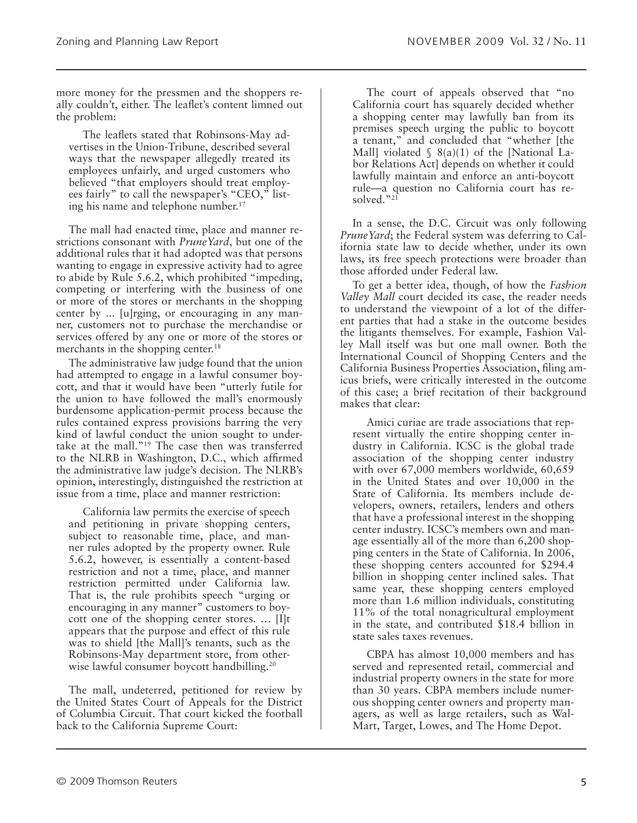more money for the pressmen and the shoppers really couldn't, either. The leaflet's content limned out the problem:

The leaflets stated that Robinsons-May advertises in the Union-Tribune, described several ways that the newspaper allegedly treated its employees unfairly, and urged customers who believed "that employers should treat employees fairly" to call the newspaper's "CEO," listing his name and telephone number.<sup>17</sup>

The mall had enacted time, place and manner restrictions consonant with *PruneYard*, but one of the additional rules that it had adopted was that persons wanting to engage in expressive activity had to agree to abide by Rule 5.6.2, which prohibited "impeding, competing or interfering with the business of one or more of the stores or merchants in the shopping center by ... [u]rging, or encouraging in any manner, customers not to purchase the merchandise or services offered by any one or more of the stores or merchants in the shopping center.<sup>18</sup>

The administrative law judge found that the union had attempted to engage in a lawful consumer boycott, and that it would have been "utterly futile for the union to have followed the mall's enormously burdensome application-permit process because the rules contained express provisions barring the very kind of lawful conduct the union sought to undertake at the mall."19 The case then was transferred to the NLRB in Washington, D.C., which affirmed the administrative law judge's decision. The NLRB's opinion, interestingly, distinguished the restriction at issue from a time, place and manner restriction:

California law permits the exercise of speech and petitioning in private shopping centers, subject to reasonable time, place, and manner rules adopted by the property owner. Rule 5.6.2, however, is essentially a content-based restriction and not a time, place, and manner restriction permitted under California law. That is, the rule prohibits speech "urging or encouraging in any manner" customers to boycott one of the shopping center stores. … [I]t appears that the purpose and effect of this rule was to shield [the Mall]'s tenants, such as the Robinsons-May department store, from otherwise lawful consumer boycott handbilling.<sup>20</sup>

The mall, undeterred, petitioned for review by the United States Court of Appeals for the District of Columbia Circuit. That court kicked the football back to the California Supreme Court:

The court of appeals observed that "no California court has squarely decided whether a shopping center may lawfully ban from its premises speech urging the public to boycott a tenant," and concluded that "whether [the Mall] violated  $\S$  8(a)(1) of the [National Labor Relations Act] depends on whether it could lawfully maintain and enforce an anti-boycott rule—a question no California court has resolved."<sup>21</sup>

In a sense, the D.C. Circuit was only following *PruneYard*; the Federal system was deferring to California state law to decide whether, under its own laws, its free speech protections were broader than those afforded under Federal law.

To get a better idea, though, of how the *Fashion Valley Mall* court decided its case, the reader needs to understand the viewpoint of a lot of the different parties that had a stake in the outcome besides the litigants themselves. For example, Fashion Valley Mall itself was but one mall owner. Both the International Council of Shopping Centers and the California Business Properties Association, filing amicus briefs, were critically interested in the outcome of this case; a brief recitation of their background makes that clear:

Amici curiae are trade associations that represent virtually the entire shopping center industry in California. ICSC is the global trade association of the shopping center industry with over 67,000 members worldwide, 60,659 in the United States and over 10,000 in the State of California. Its members include developers, owners, retailers, lenders and others that have a professional interest in the shopping center industry. ICSC's members own and manage essentially all of the more than 6,200 shopping centers in the State of California. In 2006, these shopping centers accounted for \$294.4 billion in shopping center inclined sales. That same year, these shopping centers employed more than 1.6 million individuals, constituting 11% of the total nonagricultural employment in the state, and contributed \$18.4 billion in state sales taxes revenues.

CBPA has almost 10,000 members and has served and represented retail, commercial and industrial property owners in the state for more than 30 years. CBPA members include numerous shopping center owners and property managers, as well as large retailers, such as Wal-Mart, Target, Lowes, and The Home Depot.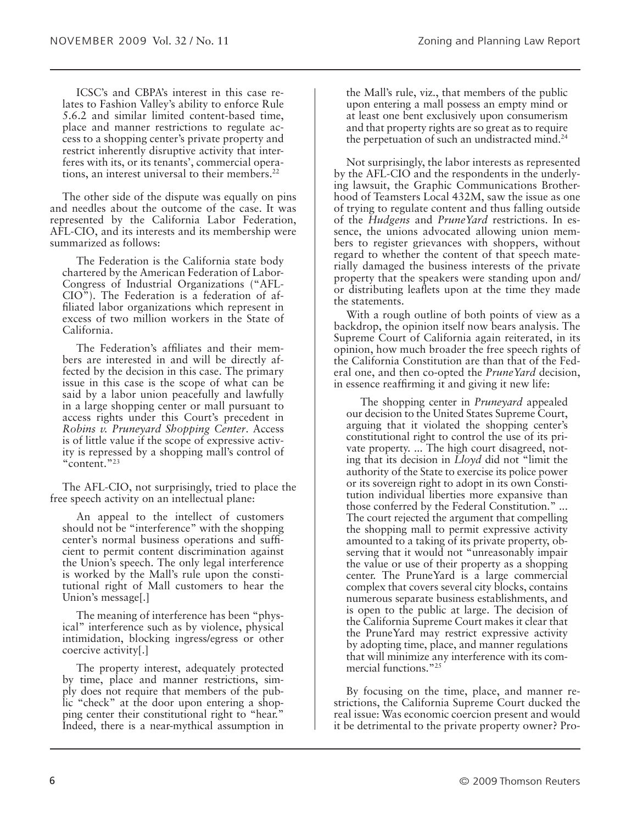ICSC's and CBPA's interest in this case relates to Fashion Valley's ability to enforce Rule 5.6.2 and similar limited content-based time, place and manner restrictions to regulate access to a shopping center's private property and restrict inherently disruptive activity that interferes with its, or its tenants', commercial operations, an interest universal to their members.22

The other side of the dispute was equally on pins and needles about the outcome of the case. It was represented by the California Labor Federation, AFL-CIO, and its interests and its membership were summarized as follows:

The Federation is the California state body chartered by the American Federation of Labor-Congress of Industrial Organizations ("AFL-CIO"). The Federation is a federation of affiliated labor organizations which represent in excess of two million workers in the State of California.

The Federation's affiliates and their members are interested in and will be directly affected by the decision in this case. The primary issue in this case is the scope of what can be said by a labor union peacefully and lawfully in a large shopping center or mall pursuant to access rights under this Court's precedent in *Robins v. Pruneyard Shopping Center*. Access is of little value if the scope of expressive activity is repressed by a shopping mall's control of "content."<sup>23</sup>

The AFL-CIO, not surprisingly, tried to place the free speech activity on an intellectual plane:

An appeal to the intellect of customers should not be "interference" with the shopping center's normal business operations and sufficient to permit content discrimination against the Union's speech. The only legal interference is worked by the Mall's rule upon the constitutional right of Mall customers to hear the Union's message[.]

The meaning of interference has been "physical" interference such as by violence, physical intimidation, blocking ingress/egress or other coercive activity[.]

The property interest, adequately protected by time, place and manner restrictions, simply does not require that members of the public "check" at the door upon entering a shopping center their constitutional right to "hear." Indeed, there is a near-mythical assumption in

the Mall's rule, viz., that members of the public upon entering a mall possess an empty mind or at least one bent exclusively upon consumerism and that property rights are so great as to require the perpetuation of such an undistracted mind.<sup>24</sup>

Not surprisingly, the labor interests as represented by the AFL-CIO and the respondents in the underlying lawsuit, the Graphic Communications Brotherhood of Teamsters Local 432M, saw the issue as one of trying to regulate content and thus falling outside of the *Hudgens* and *PruneYard* restrictions. In essence, the unions advocated allowing union members to register grievances with shoppers, without regard to whether the content of that speech materially damaged the business interests of the private property that the speakers were standing upon and/ or distributing leaflets upon at the time they made the statements.

With a rough outline of both points of view as a backdrop, the opinion itself now bears analysis. The Supreme Court of California again reiterated, in its opinion, how much broader the free speech rights of the California Constitution are than that of the Federal one, and then co-opted the *PruneYard* decision, in essence reaffirming it and giving it new life:

The shopping center in *Pruneyard* appealed our decision to the United States Supreme Court, arguing that it violated the shopping center's constitutional right to control the use of its private property. ... The high court disagreed, noting that its decision in *Lloyd* did not "limit the authority of the State to exercise its police power or its sovereign right to adopt in its own Constitution individual liberties more expansive than those conferred by the Federal Constitution." ... The court rejected the argument that compelling the shopping mall to permit expressive activity amounted to a taking of its private property, observing that it would not "unreasonably impair the value or use of their property as a shopping center. The PruneYard is a large commercial complex that covers several city blocks, contains numerous separate business establishments, and is open to the public at large. The decision of the California Supreme Court makes it clear that the PruneYard may restrict expressive activity by adopting time, place, and manner regulations that will minimize any interference with its commercial functions."<sup>25</sup>

By focusing on the time, place, and manner restrictions, the California Supreme Court ducked the real issue: Was economic coercion present and would it be detrimental to the private property owner? Pro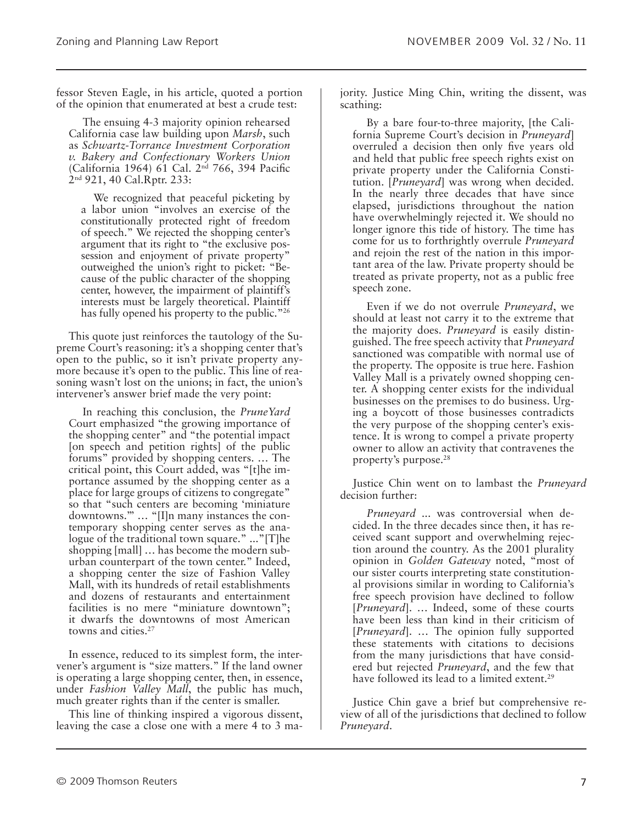fessor Steven Eagle, in his article, quoted a portion of the opinion that enumerated at best a crude test:

The ensuing 4-3 majority opinion rehearsed California case law building upon *Marsh*, such as *Schwartz-Torrance Investment Corporation v. Bakery and Confectionary Workers Union* (California 1964) 61 Cal. 2nd 766, 394 Pacific 2nd 921, 40 Cal.Rptr. 233:

We recognized that peaceful picketing by a labor union "involves an exercise of the constitutionally protected right of freedom of speech." We rejected the shopping center's argument that its right to "the exclusive possession and enjoyment of private property" outweighed the union's right to picket: "Because of the public character of the shopping center, however, the impairment of plaintiff's interests must be largely theoretical. Plaintiff has fully opened his property to the public."<sup>26</sup>

This quote just reinforces the tautology of the Supreme Court's reasoning: it's a shopping center that's open to the public, so it isn't private property anymore because it's open to the public. This line of reasoning wasn't lost on the unions; in fact, the union's intervener's answer brief made the very point:

In reaching this conclusion, the *PruneYard* Court emphasized "the growing importance of the shopping center" and "the potential impact [on speech and petition rights] of the public forums" provided by shopping centers. … The critical point, this Court added, was "[t]he importance assumed by the shopping center as a place for large groups of citizens to congregate" so that "such centers are becoming 'miniature downtowns."" ... "[I]n many instances the contemporary shopping center serves as the analogue of the traditional town square." ..."[T]he shopping [mall] … has become the modern suburban counterpart of the town center." Indeed, a shopping center the size of Fashion Valley Mall, with its hundreds of retail establishments and dozens of restaurants and entertainment facilities is no mere "miniature downtown"; it dwarfs the downtowns of most American towns and cities.27

In essence, reduced to its simplest form, the intervener's argument is "size matters." If the land owner is operating a large shopping center, then, in essence, under *Fashion Valley Mall*, the public has much, much greater rights than if the center is smaller.

This line of thinking inspired a vigorous dissent, leaving the case a close one with a mere 4 to 3 majority. Justice Ming Chin, writing the dissent, was scathing:

By a bare four-to-three majority, [the California Supreme Court's decision in *Pruneyard*] overruled a decision then only five years old and held that public free speech rights exist on private property under the California Constitution. [*Pruneyard*] was wrong when decided. In the nearly three decades that have since elapsed, jurisdictions throughout the nation have overwhelmingly rejected it. We should no longer ignore this tide of history. The time has come for us to forthrightly overrule *Pruneyard* and rejoin the rest of the nation in this important area of the law. Private property should be treated as private property, not as a public free speech zone.

Even if we do not overrule *Pruneyard*, we should at least not carry it to the extreme that the majority does. *Pruneyard* is easily distinguished. The free speech activity that *Pruneyard* sanctioned was compatible with normal use of the property. The opposite is true here. Fashion Valley Mall is a privately owned shopping center. A shopping center exists for the individual businesses on the premises to do business. Urging a boycott of those businesses contradicts the very purpose of the shopping center's existence. It is wrong to compel a private property owner to allow an activity that contravenes the property's purpose.28

Justice Chin went on to lambast the *Pruneyard* decision further:

*Pruneyard* ... was controversial when decided. In the three decades since then, it has received scant support and overwhelming rejection around the country. As the 2001 plurality opinion in *Golden Gateway* noted, "most of our sister courts interpreting state constitutional provisions similar in wording to California's free speech provision have declined to follow [*Pruneyard*]. … Indeed, some of these courts have been less than kind in their criticism of [*Pruneyard*]. … The opinion fully supported these statements with citations to decisions from the many jurisdictions that have considered but rejected *Pruneyard*, and the few that have followed its lead to a limited extent.<sup>29</sup>

Justice Chin gave a brief but comprehensive review of all of the jurisdictions that declined to follow *Pruneyard*.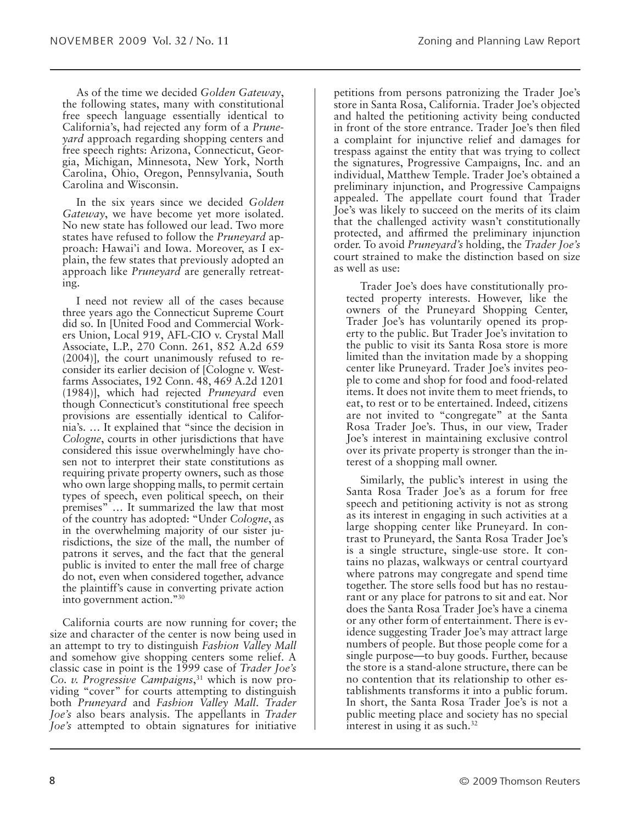As of the time we decided *Golden Gateway*, the following states, many with constitutional free speech language essentially identical to California's, had rejected any form of a *Pruneyard* approach regarding shopping centers and free speech rights: Arizona, Connecticut, Georgia, Michigan, Minnesota, New York, North Carolina, Ohio, Oregon, Pennsylvania, South Carolina and Wisconsin.

In the six years since we decided *Golden Gateway*, we have become yet more isolated. No new state has followed our lead. Two more states have refused to follow the *Pruneyard* approach: Hawai'i and Iowa. Moreover, as I explain, the few states that previously adopted an approach like *Pruneyard* are generally retreating.

I need not review all of the cases because three years ago the Connecticut Supreme Court did so. In [United Food and Commercial Workers Union, Local 919, AFL-CIO v. Crystal Mall Associate, L.P., 270 Conn. 261, 852 A.2d 659 (2004)]*,* the court unanimously refused to reconsider its earlier decision of [Cologne v. Westfarms Associates, 192 Conn. 48, 469 A.2d 1201 (1984)], which had rejected *Pruneyard* even though Connecticut's constitutional free speech provisions are essentially identical to California's. … It explained that "since the decision in *Cologne*, courts in other jurisdictions that have considered this issue overwhelmingly have chosen not to interpret their state constitutions as requiring private property owners, such as those who own large shopping malls, to permit certain types of speech, even political speech, on their premises" … It summarized the law that most of the country has adopted: "Under *Cologne*, as in the overwhelming majority of our sister jurisdictions, the size of the mall, the number of patrons it serves, and the fact that the general public is invited to enter the mall free of charge do not, even when considered together, advance the plaintiff's cause in converting private action into government action."<sup>30</sup>

California courts are now running for cover; the size and character of the center is now being used in an attempt to try to distinguish *Fashion Valley Mall* and somehow give shopping centers some relief. A classic case in point is the 1999 case of *Trader Joe's Co. v. Progressive Campaigns*, 31 which is now providing "cover" for courts attempting to distinguish both *Pruneyard* and *Fashion Valley Mall*. *Trader Joe's* also bears analysis. The appellants in *Trader Joe's* attempted to obtain signatures for initiative petitions from persons patronizing the Trader Joe's store in Santa Rosa, California. Trader Joe's objected and halted the petitioning activity being conducted in front of the store entrance. Trader Joe's then filed a complaint for injunctive relief and damages for trespass against the entity that was trying to collect the signatures, Progressive Campaigns, Inc. and an individual, Matthew Temple. Trader Joe's obtained a preliminary injunction, and Progressive Campaigns appealed. The appellate court found that Trader Joe's was likely to succeed on the merits of its claim that the challenged activity wasn't constitutionally protected, and affirmed the preliminary injunction order. To avoid *Pruneyard's* holding, the *Trader Joe's* court strained to make the distinction based on size as well as use:

Trader Joe's does have constitutionally protected property interests. However, like the owners of the Pruneyard Shopping Center, Trader Joe's has voluntarily opened its property to the public. But Trader Joe's invitation to the public to visit its Santa Rosa store is more limited than the invitation made by a shopping center like Pruneyard. Trader Joe's invites people to come and shop for food and food-related items. It does not invite them to meet friends, to eat, to rest or to be entertained. Indeed, citizens are not invited to "congregate" at the Santa Rosa Trader Joe's. Thus, in our view, Trader Joe's interest in maintaining exclusive control over its private property is stronger than the interest of a shopping mall owner.

Similarly, the public's interest in using the Santa Rosa Trader Joe's as a forum for free speech and petitioning activity is not as strong as its interest in engaging in such activities at a large shopping center like Pruneyard. In contrast to Pruneyard, the Santa Rosa Trader Joe's is a single structure, single-use store. It contains no plazas, walkways or central courtyard where patrons may congregate and spend time together. The store sells food but has no restaurant or any place for patrons to sit and eat. Nor does the Santa Rosa Trader Joe's have a cinema or any other form of entertainment. There is evidence suggesting Trader Joe's may attract large numbers of people. But those people come for a single purpose—to buy goods. Further, because the store is a stand-alone structure, there can be no contention that its relationship to other establishments transforms it into a public forum. In short, the Santa Rosa Trader Joe's is not a public meeting place and society has no special interest in using it as such.<sup>32</sup>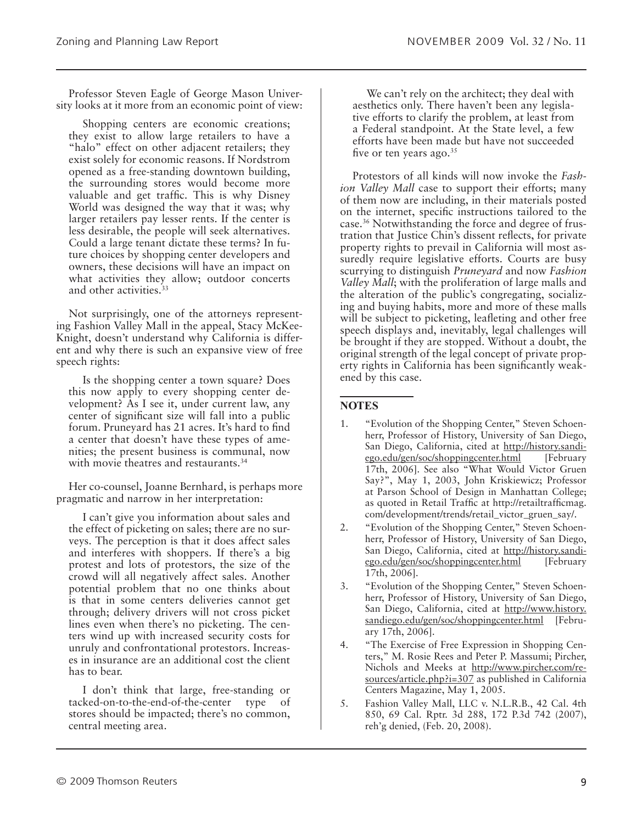Professor Steven Eagle of George Mason University looks at it more from an economic point of view:

Shopping centers are economic creations; they exist to allow large retailers to have a "halo" effect on other adjacent retailers; they exist solely for economic reasons. If Nordstrom opened as a free-standing downtown building, the surrounding stores would become more valuable and get traffic. This is why Disney World was designed the way that it was; why larger retailers pay lesser rents. If the center is less desirable, the people will seek alternatives. Could a large tenant dictate these terms? In future choices by shopping center developers and owners, these decisions will have an impact on what activities they allow; outdoor concerts and other activities.<sup>33</sup>

Not surprisingly, one of the attorneys representing Fashion Valley Mall in the appeal, Stacy McKee-Knight, doesn't understand why California is different and why there is such an expansive view of free speech rights:

Is the shopping center a town square? Does this now apply to every shopping center development? As I see it, under current law, any center of significant size will fall into a public forum. Pruneyard has 21 acres. It's hard to find a center that doesn't have these types of amenities; the present business is communal, now with movie theatres and restaurants.<sup>34</sup>

Her co-counsel, Joanne Bernhard, is perhaps more pragmatic and narrow in her interpretation:

I can't give you information about sales and the effect of picketing on sales; there are no surveys. The perception is that it does affect sales and interferes with shoppers. If there's a big protest and lots of protestors, the size of the crowd will all negatively affect sales. Another potential problem that no one thinks about is that in some centers deliveries cannot get through; delivery drivers will not cross picket lines even when there's no picketing. The centers wind up with increased security costs for unruly and confrontational protestors. Increases in insurance are an additional cost the client has to bear.

I don't think that large, free-standing or tacked-on-to-the-end-of-the-center type of stores should be impacted; there's no common, central meeting area.

We can't rely on the architect; they deal with aesthetics only. There haven't been any legislative efforts to clarify the problem, at least from a Federal standpoint. At the State level, a few efforts have been made but have not succeeded five or ten years ago. $35$ 

Protestors of all kinds will now invoke the *Fashion Valley Mall* case to support their efforts; many of them now are including, in their materials posted on the internet, specific instructions tailored to the case.36 Notwithstanding the force and degree of frustration that Justice Chin's dissent reflects, for private property rights to prevail in California will most assuredly require legislative efforts. Courts are busy scurrying to distinguish *Pruneyard* and now *Fashion Valley Mall*; with the proliferation of large malls and the alteration of the public's congregating, socializing and buying habits, more and more of these malls will be subject to picketing, leafleting and other free speech displays and, inevitably, legal challenges will be brought if they are stopped. Without a doubt, the original strength of the legal concept of private property rights in California has been significantly weakened by this case.

#### **NOTES**

- 1. "Evolution of the Shopping Center," Steven Schoenherr, Professor of History, University of San Diego, San Diego, California, cited at http://history.sandiego.edu/gen/soc/shoppingcenter.html [February 17th, 2006]. See also "What Would Victor Gruen Say?", May 1, 2003, John Kriskiewicz; Professor at Parson School of Design in Manhattan College; as quoted in Retail Traffic at http://retailtrafficmag. com/development/trends/retail\_victor\_gruen\_say/.
- 2. "Evolution of the Shopping Center," Steven Schoenherr, Professor of History, University of San Diego, San Diego, California, cited at http://history.sandiego.edu/gen/soc/shoppingcenter.html [February 17th, 2006].
- 3. "Evolution of the Shopping Center," Steven Schoenherr, Professor of History, University of San Diego, San Diego, California, cited at http://www.history. sandiego.edu/gen/soc/shoppingcenter.html [February 17th, 2006].
- 4. "The Exercise of Free Expression in Shopping Centers," M. Rosie Rees and Peter P. Massumi; Pircher, Nichols and Meeks at http://www.pircher.com/resources/article.php?i=307 as published in California Centers Magazine, May 1, 2005.
- 5. Fashion Valley Mall, LLC v. N.L.R.B., 42 Cal. 4th 850, 69 Cal. Rptr. 3d 288, 172 P.3d 742 (2007), reh'g denied, (Feb. 20, 2008).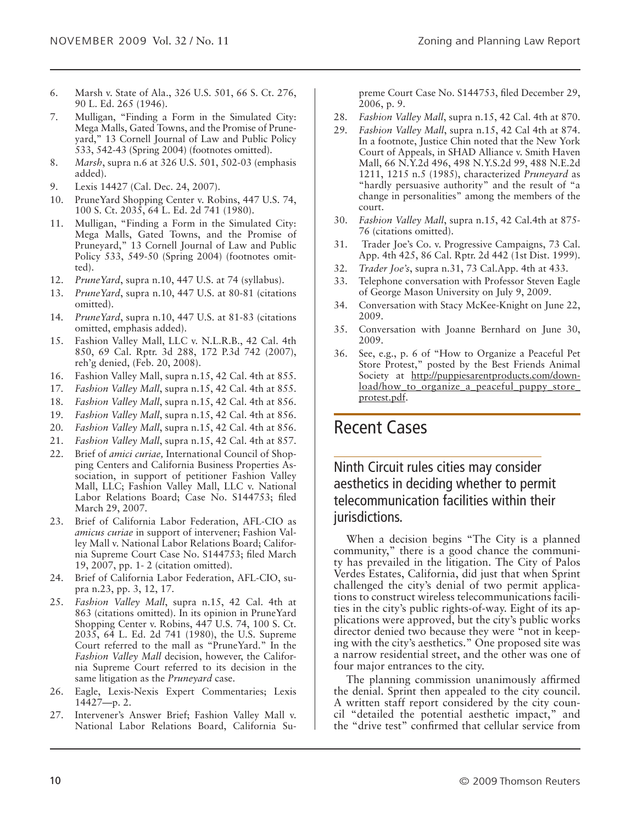- 6. Marsh v. State of Ala., 326 U.S. 501, 66 S. Ct. 276, 90 L. Ed. 265 (1946).
- 7. Mulligan, "Finding a Form in the Simulated City: Mega Malls, Gated Towns, and the Promise of Pruneyard," 13 Cornell Journal of Law and Public Policy 533, 542-43 (Spring 2004) (footnotes omitted).
- 8. *Marsh*, supra n.6 at 326 U.S. 501, 502-03 (emphasis added).
- 9. Lexis 14427 (Cal. Dec. 24, 2007).
- 10. PruneYard Shopping Center v. Robins, 447 U.S. 74, 100 S. Ct. 2035, 64 L. Ed. 2d 741 (1980).
- 11. Mulligan, "Finding a Form in the Simulated City: Mega Malls, Gated Towns, and the Promise of Pruneyard," 13 Cornell Journal of Law and Public Policy 533, 549-50 (Spring 2004) (footnotes omitted).
- 12. *PruneYard*, supra n.10, 447 U.S. at 74 (syllabus).
- 13. *PruneYard*, supra n.10, 447 U.S. at 80-81 (citations omitted).
- 14*. PruneYard*, supra n.10, 447 U.S. at 81-83 (citations omitted, emphasis added).
- 15. Fashion Valley Mall, LLC v. N.L.R.B., 42 Cal. 4th 850, 69 Cal. Rptr. 3d 288, 172 P.3d 742 (2007), reh'g denied, (Feb. 20, 2008).
- 16. Fashion Valley Mall, supra n.15, 42 Cal. 4th at 855.
- 17*. Fashion Valley Mall*, supra n.15, 42 Cal. 4th at 855.
- 18*. Fashion Valley Mall*, supra n.15, 42 Cal. 4th at 856.
- 19*. Fashion Valley Mall*, supra n.15, 42 Cal. 4th at 856.
- 20*. Fashion Valley Mall*, supra n.15, 42 Cal. 4th at 856.
- 21. *Fashion Valley Mall*, supra n.15, 42 Cal. 4th at 857.
- 22. Brief of *amici curiae,* International Council of Shopping Centers and California Business Properties Association, in support of petitioner Fashion Valley Mall, LLC; Fashion Valley Mall, LLC v. National Labor Relations Board; Case No. S144753; filed March 29, 2007.
- 23. Brief of California Labor Federation, AFL-CIO as *amicus curiae* in support of intervener; Fashion Valley Mall v. National Labor Relations Board; California Supreme Court Case No. S144753; filed March 19, 2007, pp. 1- 2 (citation omitted).
- 24. Brief of California Labor Federation, AFL-CIO, supra n.23, pp. 3, 12, 17.
- 25. *Fashion Valley Mall*, supra n.15, 42 Cal. 4th at 863 (citations omitted). In its opinion in PruneYard Shopping Center v. Robins, 447 U.S. 74, 100 S. Ct. 2035, 64 L. Ed. 2d 741 (1980), the U.S. Supreme Court referred to the mall as "PruneYard." In the *Fashion Valley Mall* decision, however, the California Supreme Court referred to its decision in the same litigation as the *Pruneyard* case.
- 26. Eagle, Lexis-Nexis Expert Commentaries; Lexis  $14427 - p. 2$ .
- 27. Intervener's Answer Brief; Fashion Valley Mall v. National Labor Relations Board, California Su-

preme Court Case No. S144753, filed December 29, 2006, p. 9.

- 28*. Fashion Valley Mall*, supra n.15, 42 Cal. 4th at 870.
- 29*. Fashion Valley Mall*, supra n.15, 42 Cal 4th at 874. In a footnote, Justice Chin noted that the New York Court of Appeals, in SHAD Alliance v. Smith Haven Mall, 66 N.Y.2d 496, 498 N.Y.S.2d 99, 488 N.E.2d 1211, 1215 n.5 (1985), characterized *Pruneyard* as "hardly persuasive authority" and the result of "a change in personalities" among the members of the court.
- 30. *Fashion Valley Mall*, supra n.15, 42 Cal.4th at 875- 76 (citations omitted).
- 31. Trader Joe's Co. v. Progressive Campaigns, 73 Cal. App. 4th 425, 86 Cal. Rptr. 2d 442 (1st Dist. 1999).
- 32*. Trader Joe's*, supra n.31, 73 Cal.App. 4th at 433.
- 33. Telephone conversation with Professor Steven Eagle of George Mason University on July 9, 2009.
- 34. Conversation with Stacy McKee-Knight on June 22, 2009.
- 35. Conversation with Joanne Bernhard on June 30, 2009.
- 36. See, e.g., p. 6 of "How to Organize a Peaceful Pet Store Protest," posted by the Best Friends Animal Society at http://puppiesarentproducts.com/download/how\_to\_organize\_a\_peaceful\_puppy\_store\_ protest.pdf.

# Recent Cases

Ninth Circuit rules cities may consider aesthetics in deciding whether to permit telecommunication facilities within their jurisdictions.

When a decision begins "The City is a planned community," there is a good chance the community has prevailed in the litigation. The City of Palos Verdes Estates, California, did just that when Sprint challenged the city's denial of two permit applications to construct wireless telecommunications facilities in the city's public rights-of-way. Eight of its applications were approved, but the city's public works director denied two because they were "not in keeping with the city's aesthetics." One proposed site was a narrow residential street, and the other was one of four major entrances to the city.

The planning commission unanimously affirmed the denial. Sprint then appealed to the city council. A written staff report considered by the city council "detailed the potential aesthetic impact," and the "drive test" confirmed that cellular service from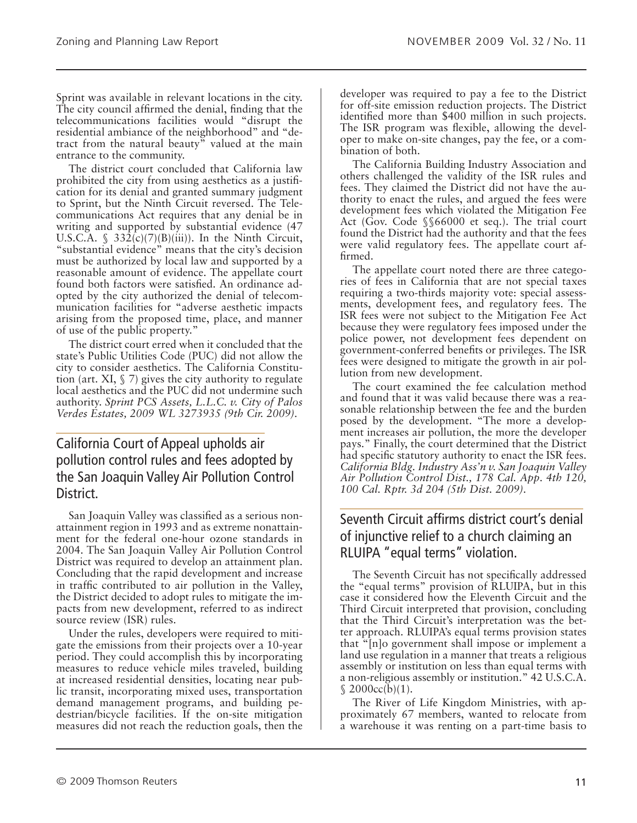Sprint was available in relevant locations in the city. The city council affirmed the denial, finding that the telecommunications facilities would "disrupt the residential ambiance of the neighborhood" and "detract from the natural beauty" valued at the main entrance to the community.

The district court concluded that California law prohibited the city from using aesthetics as a justification for its denial and granted summary judgment to Sprint, but the Ninth Circuit reversed. The Telecommunications Act requires that any denial be in writing and supported by substantial evidence (47 U.S.C.A.  $\frac{1}{2}$  332(c)(7)(B)(iii)). In the Ninth Circuit, "substantial evidence" means that the city's decision must be authorized by local law and supported by a reasonable amount of evidence. The appellate court found both factors were satisfied. An ordinance adopted by the city authorized the denial of telecommunication facilities for "adverse aesthetic impacts arising from the proposed time, place, and manner of use of the public property."

The district court erred when it concluded that the state's Public Utilities Code (PUC) did not allow the city to consider aesthetics. The California Constitution (art. XI,  $\S$  7) gives the city authority to regulate local aesthetics and the PUC did not undermine such authority. *Sprint PCS Assets, L.L.C. v. City of Palos Verdes Estates, 2009 WL 3273935 (9th Cir. 2009).*

## California Court of Appeal upholds air pollution control rules and fees adopted by the San Joaquin Valley Air Pollution Control District.

San Joaquin Valley was classified as a serious nonattainment region in 1993 and as extreme nonattainment for the federal one-hour ozone standards in 2004. The San Joaquin Valley Air Pollution Control District was required to develop an attainment plan. Concluding that the rapid development and increase in traffic contributed to air pollution in the Valley, the District decided to adopt rules to mitigate the impacts from new development, referred to as indirect source review (ISR) rules.

Under the rules, developers were required to mitigate the emissions from their projects over a 10-year period. They could accomplish this by incorporating measures to reduce vehicle miles traveled, building at increased residential densities, locating near public transit, incorporating mixed uses, transportation demand management programs, and building pedestrian/bicycle facilities. If the on-site mitigation measures did not reach the reduction goals, then the

developer was required to pay a fee to the District for off-site emission reduction projects. The District identified more than \$400 million in such projects. The ISR program was flexible, allowing the developer to make on-site changes, pay the fee, or a combination of both.

The California Building Industry Association and others challenged the validity of the ISR rules and fees. They claimed the District did not have the authority to enact the rules, and argued the fees were development fees which violated the Mitigation Fee Act (Gov. Code §§66000 et seq.). The trial court found the District had the authority and that the fees were valid regulatory fees. The appellate court affirmed.

The appellate court noted there are three categories of fees in California that are not special taxes requiring a two-thirds majority vote: special assessments, development fees, and regulatory fees. The ISR fees were not subject to the Mitigation Fee Act because they were regulatory fees imposed under the police power, not development fees dependent on government-conferred benefits or privileges. The ISR fees were designed to mitigate the growth in air pollution from new development.

The court examined the fee calculation method and found that it was valid because there was a reasonable relationship between the fee and the burden posed by the development. "The more a development increases air pollution, the more the developer pays." Finally, the court determined that the District had specific statutory authority to enact the ISR fees. *California Bldg. Industry Ass'n v. San Joaquin Valley Air Pollution Control Dist., 178 Cal. App. 4th 120, 100 Cal. Rptr. 3d 204 (5th Dist. 2009).*

## Seventh Circuit affirms district court's denial of injunctive relief to a church claiming an RLUIPA "equal terms" violation.

The Seventh Circuit has not specifically addressed the "equal terms" provision of RLUIPA, but in this case it considered how the Eleventh Circuit and the Third Circuit interpreted that provision, concluding that the Third Circuit's interpretation was the better approach. RLUIPA's equal terms provision states that "[n]o government shall impose or implement a land use regulation in a manner that treats a religious assembly or institution on less than equal terms with a non-religious assembly or institution." 42 U.S.C.A.  $$2000cc(b)(1).$ 

The River of Life Kingdom Ministries, with approximately 67 members, wanted to relocate from a warehouse it was renting on a part-time basis to